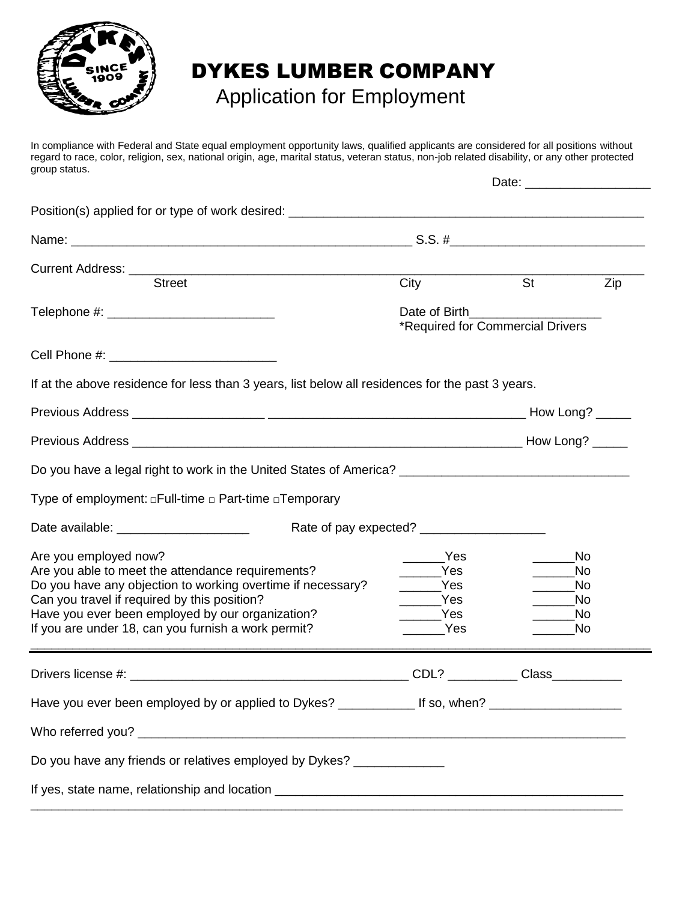

## DYKES LUMBER COMPANY

## Application for Employment

In compliance with Federal and State equal employment opportunity laws, qualified applicants are considered for all positions without regard to race, color, religion, sex, national origin, age, marital status, veteran status, non-job related disability, or any other protected group status.

| Position(s) applied for or type of work desired: ________________________________                       |                                       |                                  |          |
|---------------------------------------------------------------------------------------------------------|---------------------------------------|----------------------------------|----------|
|                                                                                                         |                                       |                                  |          |
| Current Address: Street                                                                                 |                                       |                                  |          |
|                                                                                                         | City                                  | <b>St</b>                        | Zip      |
|                                                                                                         |                                       | *Required for Commercial Drivers |          |
|                                                                                                         |                                       |                                  |          |
| If at the above residence for less than 3 years, list below all residences for the past 3 years.        |                                       |                                  |          |
|                                                                                                         |                                       |                                  |          |
|                                                                                                         |                                       |                                  |          |
|                                                                                                         |                                       |                                  |          |
| Type of employment: □Full-time □ Part-time □ Temporary                                                  |                                       |                                  |          |
| Date available: ________________________                                                                |                                       |                                  |          |
| Are you employed now?                                                                                   | $\frac{1}{\sqrt{1-\frac{1}{2}}}\$ Yes |                                  | No.      |
| Are you able to meet the attendance requirements?                                                       | <b>Paragona</b> Yes                   |                                  | No       |
| Do you have any objection to working overtime if necessary?                                             | $\sqrt{S}$                            | $\overline{\phantom{a}}$         | No       |
| Can you travel if required by this position?                                                            | $\rule{1em}{0.15mm}$ Yes              |                                  | No.      |
| Have you ever been employed by our organization?<br>If you are under 18, can you furnish a work permit? | _____Yes<br><b>Paradox</b> Yes        |                                  | No<br>No |
|                                                                                                         |                                       |                                  |          |
|                                                                                                         |                                       |                                  |          |
| Have you ever been employed by or applied to Dykes? _____________ If so, when? _____________________    |                                       |                                  |          |
|                                                                                                         |                                       |                                  |          |
| Do you have any friends or relatives employed by Dykes? ______________                                  |                                       |                                  |          |
|                                                                                                         |                                       |                                  |          |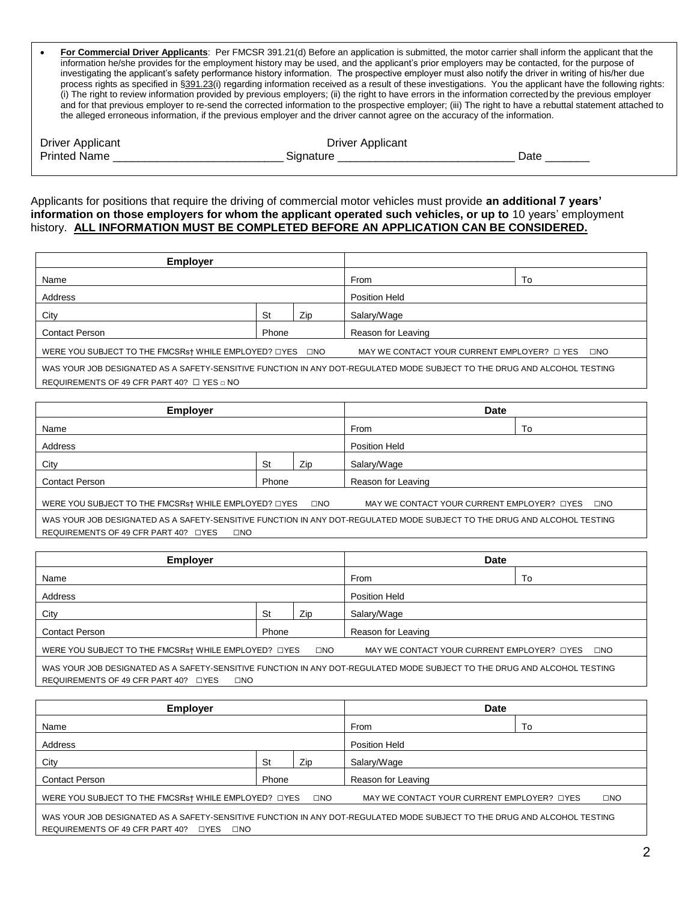| For Commercial Driver Applicants: Per FMCSR 391.21(d) Before an application is submitted, the motor carrier shall inform the applicant that the            |
|------------------------------------------------------------------------------------------------------------------------------------------------------------|
| information he/she provides for the employment history may be used, and the applicant's prior employers may be contacted, for the purpose of               |
| investigating the applicant's safety performance history information. The prospective employer must also notify the driver in writing of his/her due       |
| process rights as specified in §391.23(i) regarding information received as a result of these investigations. You the applicant have the following rights: |
| (i) The right to review information provided by previous employers; (ii) the right to have errors in the information corrected by the previous employer    |
| and for that previous employer to re-send the corrected information to the prospective employer; (iii) The right to have a rebuttal statement attached to  |
| the alleged erroneous information, if the previous employer and the driver cannot agree on the accuracy of the information.                                |
|                                                                                                                                                            |

| <b>Driver Applicant</b> | <b>Driver Applicant</b> |           |
|-------------------------|-------------------------|-----------|
| <b>Printed Name</b>     | <b>Signature</b>        | ่<br>วate |
|                         |                         |           |

Applicants for positions that require the driving of commercial motor vehicles must provide **an additional 7 years' information on those employers for whom the applicant operated such vehicles, or up to** 10 years' employment history. **ALL INFORMATION MUST BE COMPLETED BEFORE AN APPLICATION CAN BE CONSIDERED.** 

| <b>Employer</b>                                                                                                          |       |     |                                                  |              |
|--------------------------------------------------------------------------------------------------------------------------|-------|-----|--------------------------------------------------|--------------|
| Name                                                                                                                     |       |     | From                                             | To           |
| Address                                                                                                                  |       |     | Position Held                                    |              |
| City                                                                                                                     | St    | Zip | Salary/Wage                                      |              |
| <b>Contact Person</b>                                                                                                    | Phone |     | Reason for Leaving                               |              |
| WERE YOU SUBJECT TO THE FMCSRst WHILE EMPLOYED? OYES ONO                                                                 |       |     | MAY WE CONTACT YOUR CURRENT EMPLOYER? $\Box$ YES | $\square$ NO |
| WAS YOUR JOB DESIGNATED AS A SAFETY-SENSITIVE FUNCTION IN ANY DOT-REGULATED MODE SUBJECT TO THE DRUG AND ALCOHOL TESTING |       |     |                                                  |              |
| REQUIREMENTS OF 49 CFR PART 40? $\Box$ YES $\Box$ NO                                                                     |       |     |                                                  |              |

| <b>Employer</b>                                                                                                          |    |                    | <b>Date</b>                                |              |
|--------------------------------------------------------------------------------------------------------------------------|----|--------------------|--------------------------------------------|--------------|
| Name                                                                                                                     |    |                    | From                                       | To           |
| Address                                                                                                                  |    |                    | Position Held                              |              |
| City                                                                                                                     | St | Zip                | Salary/Wage                                |              |
| <b>Contact Person</b><br>Phone                                                                                           |    | Reason for Leaving |                                            |              |
| WERE YOU SUBJECT TO THE FMCSRs† WHILE EMPLOYED? OYES                                                                     |    | $\square$ NO       | MAY WE CONTACT YOUR CURRENT EMPLOYER? OYES | $\square NO$ |
| WAS YOUR JOB DESIGNATED AS A SAFETY-SENSITIVE FUNCTION IN ANY DOT-REGULATED MODE SUBJECT TO THE DRUG AND ALCOHOL TESTING |    |                    |                                            |              |
| REQUIREMENTS OF 49 CFR PART 40? DYES<br>$\square$ NO                                                                     |    |                    |                                            |              |

|    |              | <b>Date</b>                                                   |    |                                            |
|----|--------------|---------------------------------------------------------------|----|--------------------------------------------|
|    |              | From                                                          | To |                                            |
|    |              | Position Held                                                 |    |                                            |
| St | Zip          | Salary/Wage                                                   |    |                                            |
|    |              | Reason for Leaving                                            |    |                                            |
|    | $\square$ NO |                                                               |    | $\square$ NO                               |
|    |              | Phone<br>WERE YOU SUBJECT TO THE FMCSRs† WHILE EMPLOYED? OYES |    | MAY WE CONTACT YOUR CURRENT EMPLOYER? OYES |

WAS YOUR JOB DESIGNATED AS A SAFETY-SENSITIVE FUNCTION IN ANY DOT-REGULATED MODE SUBJECT TO THE DRUG AND ALCOHOL TESTING REQUIREMENTS OF 49 CFR PART 40? □YES □NO

| <b>Employer</b>                                                                                                                                                                  |       |              | <b>Date</b>                                |              |
|----------------------------------------------------------------------------------------------------------------------------------------------------------------------------------|-------|--------------|--------------------------------------------|--------------|
| Name                                                                                                                                                                             |       |              | From                                       | To           |
| Address                                                                                                                                                                          |       |              | Position Held                              |              |
| City                                                                                                                                                                             | St    | Zip          | Salary/Wage                                |              |
| <b>Contact Person</b>                                                                                                                                                            | Phone |              | Reason for Leaving                         |              |
| WERE YOU SUBJECT TO THE FMCSRs† WHILE EMPLOYED? □YES                                                                                                                             |       | $\square$ NO | MAY WE CONTACT YOUR CURRENT EMPLOYER? DYES | $\square NO$ |
| WAS YOUR JOB DESIGNATED AS A SAFETY-SENSITIVE FUNCTION IN ANY DOT-REGULATED MODE SUBJECT TO THE DRUG AND ALCOHOL TESTING<br>REQUIREMENTS OF 49 CFR PART 40?<br>⊓YES<br>$\Box$ NO |       |              |                                            |              |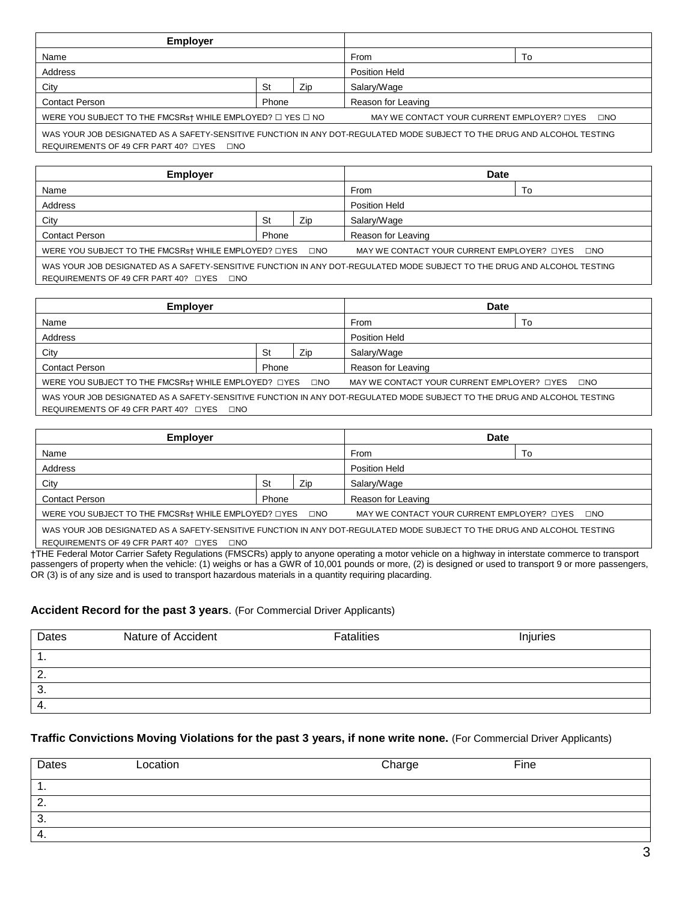| <b>Employer</b>                                                      |       |                                            |                    |    |
|----------------------------------------------------------------------|-------|--------------------------------------------|--------------------|----|
| Name                                                                 |       |                                            | From               | Т٥ |
| Address                                                              |       |                                            | Position Held      |    |
| City                                                                 | St    | Zip                                        | Salary/Wage        |    |
| <b>Contact Person</b>                                                | Phone |                                            | Reason for Leaving |    |
| WERE YOU SUBJECT TO THE FMCSRs† WHILE EMPLOYED? $\Box$ YES $\Box$ NO |       | MAY WE CONTACT YOUR CURRENT EMPLOYER? OYES | $\square$ NO       |    |
|                                                                      |       |                                            |                    |    |

WAS YOUR JOB DESIGNATED AS A SAFETY-SENSITIVE FUNCTION IN ANY DOT-REGULATED MODE SUBJECT TO THE DRUG AND ALCOHOL TESTING REQUIREMENTS OF 49 CFR PART 40? □YES □NO

| <b>Employer</b>                                      |       |               | <b>Date</b>                                     |    |
|------------------------------------------------------|-------|---------------|-------------------------------------------------|----|
| Name                                                 |       |               | From                                            | To |
| Address                                              |       | Position Held |                                                 |    |
| City                                                 | St    | Zip           | Salary/Wage                                     |    |
| <b>Contact Person</b>                                | Phone |               | Reason for Leaving                              |    |
| WERE YOU SUBJECT TO THE FMCSRst WHILE EMPLOYED? OYES |       | $\square$ NO  | MAY WE CONTACT YOUR CURRENT EMPLOYER? LYES LINO |    |
|                                                      |       |               |                                                 |    |

WAS YOUR JOB DESIGNATED AS A SAFETY-SENSITIVE FUNCTION IN ANY DOT-REGULATED MODE SUBJECT TO THE DRUG AND ALCOHOL TESTING REQUIREMENTS OF 49 CFR PART 40? □YES □NO

| <b>Employer</b>                                                                                                          |       |               | Date                                       |           |
|--------------------------------------------------------------------------------------------------------------------------|-------|---------------|--------------------------------------------|-----------|
| Name                                                                                                                     |       |               | From                                       | To        |
| Address                                                                                                                  |       | Position Held |                                            |           |
| City                                                                                                                     | St    | Zip           | Salary/Wage                                |           |
| <b>Contact Person</b>                                                                                                    | Phone |               | Reason for Leaving                         |           |
| WERE YOU SUBJECT TO THE FMCSRst WHILE EMPLOYED? OYES ONO                                                                 |       |               | MAY WE CONTACT YOUR CURRENT EMPLOYER? OYES | $\Box$ NO |
| WAS YOUR JOB DESIGNATED AS A SAFETY-SENSITIVE FUNCTION IN ANY DOT-REGULATED MODE SUBJECT TO THE DRUG AND ALCOHOL TESTING |       |               |                                            |           |
| REQUIREMENTS OF 49 CFR PART 40? DYES<br>$\Box$ NO                                                                        |       |               |                                            |           |

| Employer                                                                                                                   |       |                      | <b>Date</b>        |    |  |
|----------------------------------------------------------------------------------------------------------------------------|-------|----------------------|--------------------|----|--|
| Name                                                                                                                       |       |                      | From               | To |  |
| Address                                                                                                                    |       | <b>Position Held</b> |                    |    |  |
| City                                                                                                                       | St    | Zip                  | Salary/Wage        |    |  |
| <b>Contact Person</b>                                                                                                      | Phone |                      | Reason for Leaving |    |  |
| WERE YOU SUBJECT TO THE FMCSRs† WHILE EMPLOYED? OYES<br>MAY WE CONTACT YOUR CURRENT EMPLOYER? OYES<br>⊟NO<br>$\Box$ NO     |       |                      |                    |    |  |
| WAS VOLIR JOR DESIGNATED AS A SAFETY-SENSITIVE FUNCTION IN ANY DOT-REGULATED MODE SURJECT TO THE DRUG AND ALCOHOL TESTING. |       |                      |                    |    |  |

AS A SAFETY-SENSITIVE FUNCTION IN ANY DOT-REGULATED MODE SU REQUIREMENTS OF 49 CFR PART 40? □YES □NO

†THE Federal Motor Carrier Safety Regulations (FMSCRs) apply to anyone operating a motor vehicle on a highway in interstate commerce to transport passengers of property when the vehicle: (1) weighs or has a GWR of 10,001 pounds or more, (2) is designed or used to transport 9 or more passengers, OR (3) is of any size and is used to transport hazardous materials in a quantity requiring placarding.

## **Accident Record for the past 3 years**. (For Commercial Driver Applicants)

| Dates | Nature of Accident | <b>Fatalities</b> | Injuries |
|-------|--------------------|-------------------|----------|
| ч.    |                    |                   |          |
| 2.    |                    |                   |          |
| 3.    |                    |                   |          |
| -4.   |                    |                   |          |

## **Traffic Convictions Moving Violations for the past 3 years, if none write none.** (For Commercial Driver Applicants)

| Dates     | Location | Charge | Fine |
|-----------|----------|--------|------|
| . .       |          |        |      |
| 2.        |          |        |      |
| - 2<br>ు. |          |        |      |
| -4.       |          |        |      |